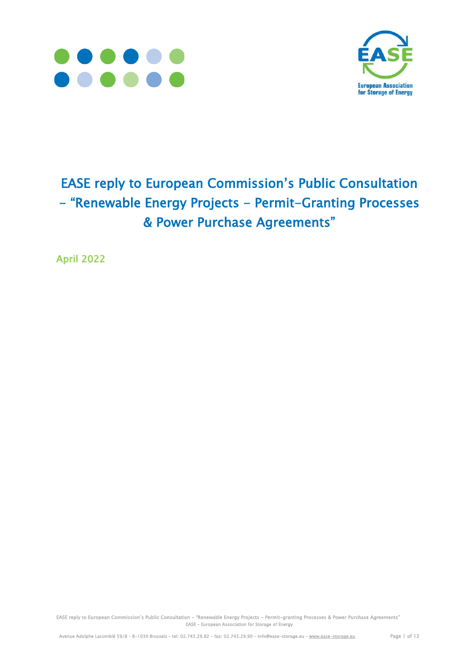



# EASE reply to European Commission's Public Consultation - "Renewable Energy Projects - Permit-Granting Processes & Power Purchase Agreements"

April 2022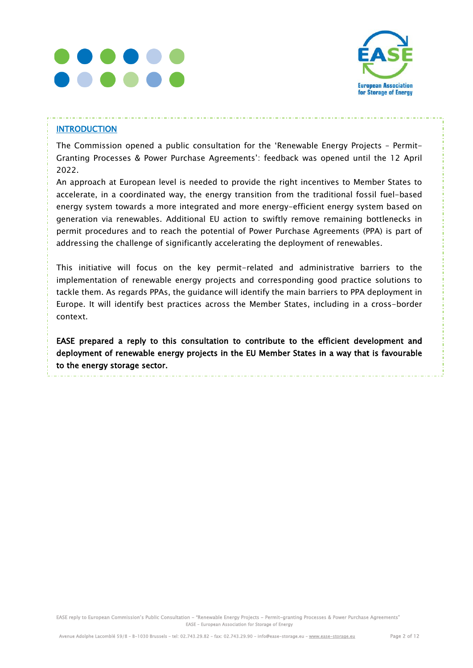



### **INTRODUCTION**

The Commission opened a public consultation for the 'Renewable Energy Projects – Permit-Granting Processes & Power Purchase Agreements': feedback was opened until the 12 April 2022.

An approach at European level is needed to provide the right incentives to Member States to accelerate, in a coordinated way, the energy transition from the traditional fossil fuel-based energy system towards a more integrated and more energy-efficient energy system based on generation via renewables. Additional EU action to swiftly remove remaining bottlenecks in permit procedures and to reach the potential of Power Purchase Agreements (PPA) is part of addressing the challenge of significantly accelerating the deployment of renewables.

This initiative will focus on the key permit-related and administrative barriers to the implementation of renewable energy projects and corresponding good practice solutions to tackle them. As regards PPAs, the guidance will identify the main barriers to PPA deployment in Europe. It will identify best practices across the Member States, including in a cross-border context.

EASE prepared a reply to this consultation to contribute to the efficient development and deployment of renewable energy projects in the EU Member States in a way that is favourable to the energy storage sector.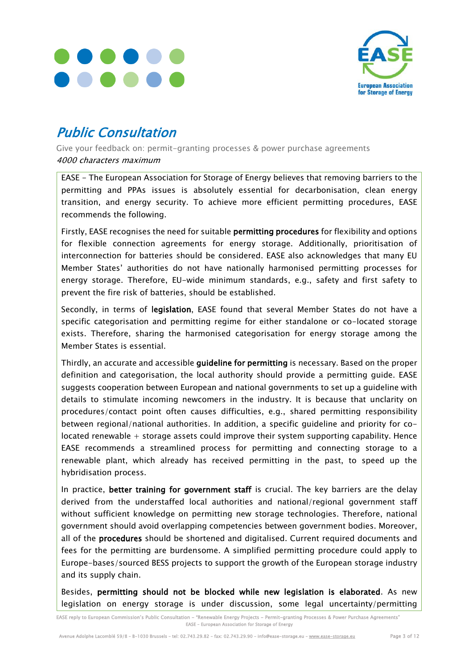



## Public Consultation

Give your feedback on: permit-granting processes & power purchase agreements 4000 characters maximum

EASE - The European Association for Storage of Energy believes that removing barriers to the permitting and PPAs issues is absolutely essential for decarbonisation, clean energy transition, and energy security. To achieve more efficient permitting procedures, EASE recommends the following.

Firstly, EASE recognises the need for suitable permitting procedures for flexibility and options for flexible connection agreements for energy storage. Additionally, prioritisation of interconnection for batteries should be considered. EASE also acknowledges that many EU Member States' authorities do not have nationally harmonised permitting processes for energy storage. Therefore, EU-wide minimum standards, e.g., safety and first safety to prevent the fire risk of batteries, should be established.

Secondly, in terms of legislation, EASE found that several Member States do not have a specific categorisation and permitting regime for either standalone or co-located storage exists. Therefore, sharing the harmonised categorisation for energy storage among the Member States is essential.

Thirdly, an accurate and accessible guideline for permitting is necessary. Based on the proper definition and categorisation, the local authority should provide a permitting guide. EASE suggests cooperation between European and national governments to set up a guideline with details to stimulate incoming newcomers in the industry. It is because that unclarity on procedures/contact point often causes difficulties, e.g., shared permitting responsibility between regional/national authorities. In addition, a specific guideline and priority for colocated renewable + storage assets could improve their system supporting capability. Hence EASE recommends a streamlined process for permitting and connecting storage to a renewable plant, which already has received permitting in the past, to speed up the hybridisation process.

In practice, better training for government staff is crucial. The key barriers are the delay derived from the understaffed local authorities and national/regional government staff without sufficient knowledge on permitting new storage technologies. Therefore, national government should avoid overlapping competencies between government bodies. Moreover, all of the procedures should be shortened and digitalised. Current required documents and fees for the permitting are burdensome. A simplified permitting procedure could apply to Europe-bases/sourced BESS projects to support the growth of the European storage industry and its supply chain.

Besides, permitting should not be blocked while new legislation is elaborated. As new legislation on energy storage is under discussion, some legal uncertainty/permitting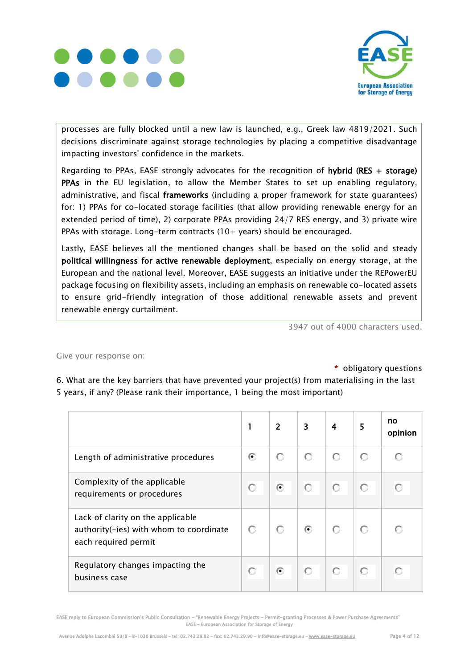



processes are fully blocked until a new law is launched, e.g., Greek law 4819/2021. Such decisions discriminate against storage technologies by placing a competitive disadvantage impacting investors' confidence in the markets.

Regarding to PPAs, EASE strongly advocates for the recognition of hybrid (RES + storage) PPAs in the EU legislation, to allow the Member States to set up enabling regulatory, administrative, and fiscal frameworks (including a proper framework for state guarantees) for: 1) PPAs for co-located storage facilities (that allow providing renewable energy for an extended period of time), 2) corporate PPAs providing 24/7 RES energy, and 3) private wire PPAs with storage. Long-term contracts  $(10+)$  years) should be encouraged.

Lastly, EASE believes all the mentioned changes shall be based on the solid and steady political willingness for active renewable deployment, especially on energy storage, at the European and the national level. Moreover, EASE suggests an initiative under the REPowerEU package focusing on flexibility assets, including an emphasis on renewable co-located assets to ensure grid-friendly integration of those additional renewable assets and prevent renewable energy curtailment.

3947 out of 4000 characters used.

#### Give your response on:

\* obligatory questions

6. What are the key barriers that have prevented your project(s) from materialising in the last 5 years, if any? (Please rank their importance, 1 being the most important)

|                                                                                                      |   | 2       | 3                        | 4 | 5 | no<br>opinion |
|------------------------------------------------------------------------------------------------------|---|---------|--------------------------|---|---|---------------|
| Length of administrative procedures                                                                  | ⊙ | О       | О                        | О |   |               |
| Complexity of the applicable<br>requirements or procedures                                           | О | $\odot$ | О                        | O | О |               |
| Lack of clarity on the applicable<br>authority(-ies) with whom to coordinate<br>each required permit | о |         | $\left( \bullet \right)$ |   |   |               |
| Regulatory changes impacting the<br>business case                                                    |   | $\odot$ | О                        | O | О |               |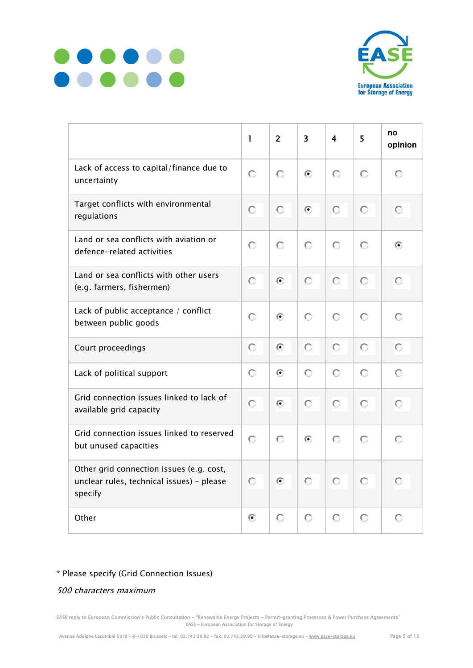



|                                                                                                  | 1 | $\overline{2}$ | $\overline{\mathbf{3}}$ | 4 | 5       | no<br>opinion |
|--------------------------------------------------------------------------------------------------|---|----------------|-------------------------|---|---------|---------------|
| Lack of access to capital/finance due to<br>uncertainty                                          | О | О              | ⊙                       | О | $\circ$ | o             |
| Target conflicts with environmental<br>regulations                                               | О | О              | $\odot$                 | О | О       | о             |
| Land or sea conflicts with aviation or<br>defence-related activities                             | О | О              | О                       | О | О       | Θ             |
| Land or sea conflicts with other users<br>(e.g. farmers, fishermen)                              | О | Θ              | О                       | О | О       | О             |
| Lack of public acceptance / conflict<br>between public goods                                     | О | Θ              | О                       | О | $\circ$ | О             |
| Court proceedings                                                                                | О | Θ              | О                       | О | О       | О             |
| Lack of political support                                                                        | О | ⊙              | О                       | О | $\circ$ | О             |
| Grid connection issues linked to lack of<br>available grid capacity                              | О | ⊙              | О                       | О | О       | о             |
| Grid connection issues linked to reserved<br>but unused capacities                               | О | О              | ⊙                       | О | О       | О             |
| Other grid connection issues (e.g. cost,<br>unclear rules, technical issues) - please<br>specify | О | Θ              | О                       | О | О       | О             |
| Other                                                                                            | ⊙ | О              | О                       | О | О       | О             |

## \* Please specify (Grid Connection Issues)

500 characters maximum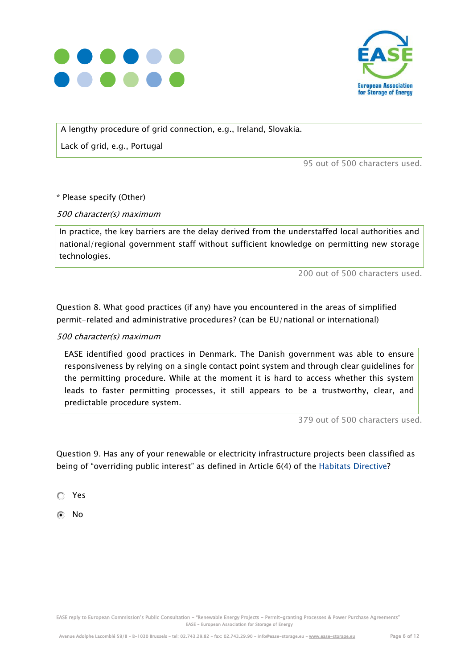



A lengthy procedure of grid connection, e.g., Ireland, Slovakia.

Lack of grid, e.g., Portugal

95 out of 500 characters used.

\* Please specify (Other)

500 character(s) maximum

In practice, the key barriers are the delay derived from the understaffed local authorities and national/regional government staff without sufficient knowledge on permitting new storage technologies.

200 out of 500 characters used.

Question 8. What good practices (if any) have you encountered in the areas of simplified permit-related and administrative procedures? (can be EU/national or international)

#### 500 character(s) maximum

EASE identified good practices in Denmark. The Danish government was able to ensure responsiveness by relying on a single contact point system and through clear guidelines for the permitting procedure. While at the moment it is hard to access whether this system leads to faster permitting processes, it still appears to be a trustworthy, clear, and predictable procedure system.

379 out of 500 characters used.

Question 9. Has any of your renewable or electricity infrastructure projects been classified as being of "overriding public interest" as defined in Article 6(4) of the [Habitats Directive?](https://eur-lex.europa.eu/legal-content/EN/TXT/?uri=celex%3A31992L0043)

Yes

No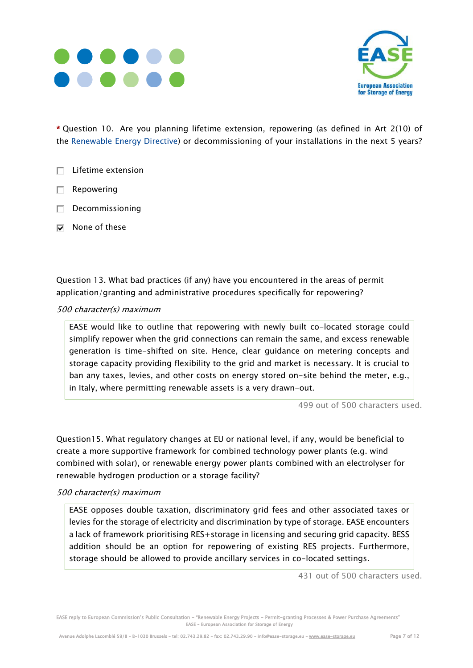



\* Question 10. Are you planning lifetime extension, repowering (as defined in Art 2(10) of the [Renewable Energy Directive\)](https://eur-lex.europa.eu/legal-content/EN/TXT/?uri=CELEX%3A32018L2001&qid=1639410441864) or decommissioning of your installations in the next 5 years?

- $\Box$  Lifetime extension
- $\Box$  Repowering
- $\Box$  Decommissioning
- $\nabla$  None of these

Question 13. What bad practices (if any) have you encountered in the areas of permit application/granting and administrative procedures specifically for repowering?

#### 500 character(s) maximum

EASE would like to outline that repowering with newly built co-located storage could simplify repower when the grid connections can remain the same, and excess renewable generation is time-shifted on site. Hence, clear guidance on metering concepts and storage capacity providing flexibility to the grid and market is necessary. It is crucial to ban any taxes, levies, and other costs on energy stored on-site behind the meter, e.g., in Italy, where permitting renewable assets is a very drawn-out.

499 out of 500 characters used.

Question15. What regulatory changes at EU or national level, if any, would be beneficial to create a more supportive framework for combined technology power plants (e.g. wind combined with solar), or renewable energy power plants combined with an electrolyser for renewable hydrogen production or a storage facility?

#### 500 character(s) maximum

EASE opposes double taxation, discriminatory grid fees and other associated taxes or levies for the storage of electricity and discrimination by type of storage. EASE encounters a lack of framework prioritising RES+storage in licensing and securing grid capacity. BESS addition should be an option for repowering of existing RES projects. Furthermore, storage should be allowed to provide ancillary services in co-located settings.

431 out of 500 characters used.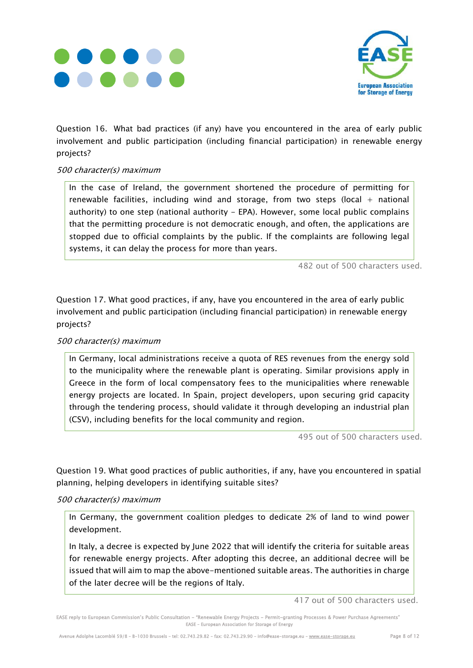



Question 16. What bad practices (if any) have you encountered in the area of early public involvement and public participation (including financial participation) in renewable energy projects?

#### 500 character(s) maximum

In the case of Ireland, the government shortened the procedure of permitting for renewable facilities, including wind and storage, from two steps (local  $+$  national authority) to one step (national authority - EPA). However, some local public complains that the permitting procedure is not democratic enough, and often, the applications are stopped due to official complaints by the public. If the complaints are following legal systems, it can delay the process for more than years.

482 out of 500 characters used.

Question 17. What good practices, if any, have you encountered in the area of early public involvement and public participation (including financial participation) in renewable energy projects?

#### 500 character(s) maximum

In Germany, local administrations receive a quota of RES revenues from the energy sold to the municipality where the renewable plant is operating. Similar provisions apply in Greece in the form of local compensatory fees to the municipalities where renewable energy projects are located. In Spain, project developers, upon securing grid capacity through the tendering process, should validate it through developing an industrial plan (CSV), including benefits for the local community and region.

495 out of 500 characters used.

Question 19. What good practices of public authorities, if any, have you encountered in spatial planning, helping developers in identifying suitable sites?

#### 500 character(s) maximum

In Germany, the government coalition pledges to dedicate 2% of land to wind power development.

In Italy, a decree is expected by June 2022 that will identify the criteria for suitable areas for renewable energy projects. After adopting this decree, an additional decree will be issued that will aim to map the above-mentioned suitable areas. The authorities in charge of the later decree will be the regions of Italy.

<sup>417</sup> out of 500 characters used.

EASE reply to European Commission's Public Consultation - "Renewable Energy Projects - Permit-granting Processes & Power Purchase Agreements" EASE – European Association for Storage of Energy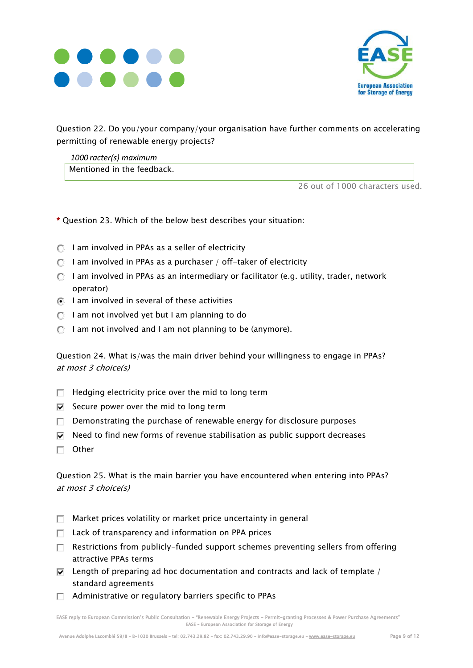



Question 22. Do you/your company/your organisation have further comments on accelerating permitting of renewable energy projects?

*1000 racter(s) maximum* Mentioned in the feedback.

26 out of 1000 characters used.

\* Question 23. Which of the below best describes your situation:

- $\bigcap$  I am involved in PPAs as a seller of electricity
- $\bigcirc$  I am involved in PPAs as a purchaser / off-taker of electricity
- $\bigcap$  lam involved in PPAs as an intermediary or facilitator (e.g. utility, trader, network operator)
- $\bigcirc$  I am involved in several of these activities
- $\bigcirc$  I am not involved yet but I am planning to do
- $\bigcirc$  I am not involved and I am not planning to be (anymore).

Question 24. What is/was the main driver behind your willingness to engage in PPAs? at most 3 choice(s)

- $\Box$  Hedging electricity price over the mid to long term
- $\overline{v}$  Secure power over the mid to long term
- $\Box$  Demonstrating the purchase of renewable energy for disclosure purposes
- $\overline{v}$  Need to find new forms of revenue stabilisation as public support decreases
- $\Box$  Other

Question 25. What is the main barrier you have encountered when entering into PPAs? at most 3 choice(s)

- $\Box$  Market prices volatility or market price uncertainty in general
- $\Box$  Lack of transparency and information on PPA prices
- $\Box$  Restrictions from publicly-funded support schemes preventing sellers from offering attractive PPAs terms
- $\overline{v}$  Length of preparing ad hoc documentation and contracts and lack of template / standard agreements
- $\Box$  Administrative or regulatory barriers specific to PPAs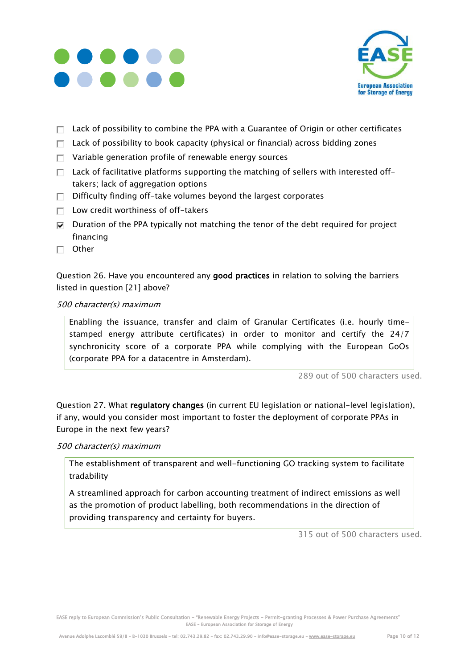



- $\Box$  Lack of possibility to combine the PPA with a Guarantee of Origin or other certificates
- $\Box$  Lack of possibility to book capacity (physical or financial) across bidding zones
- $\Box$  Variable generation profile of renewable energy sources
- $\Box$  Lack of facilitative platforms supporting the matching of sellers with interested offtakers; lack of aggregation options
- $\Box$  Difficulty finding off-take volumes beyond the largest corporates
- $\Box$  Low credit worthiness of off-takers
- $\nabla$  Duration of the PPA typically not matching the tenor of the debt required for project financing
- $\Box$  Other

Question 26. Have you encountered any good practices in relation to solving the barriers listed in question [21] above?

#### 500 character(s) maximum

Enabling the issuance, transfer and claim of Granular Certificates (i.e. hourly timestamped energy attribute certificates) in order to monitor and certify the 24/7 synchronicity score of a corporate PPA while complying with the European GoOs (corporate PPA for a datacentre in Amsterdam).

289 out of 500 characters used.

Question 27. What regulatory changes (in current EU legislation or national-level legislation), if any, would you consider most important to foster the deployment of corporate PPAs in Europe in the next few years?

500 character(s) maximum

The establishment of transparent and well-functioning GO tracking system to facilitate tradability

A streamlined approach for carbon accounting treatment of indirect emissions as well as the promotion of product labelling, both recommendations in the direction of providing transparency and certainty for buyers.

315 out of 500 characters used.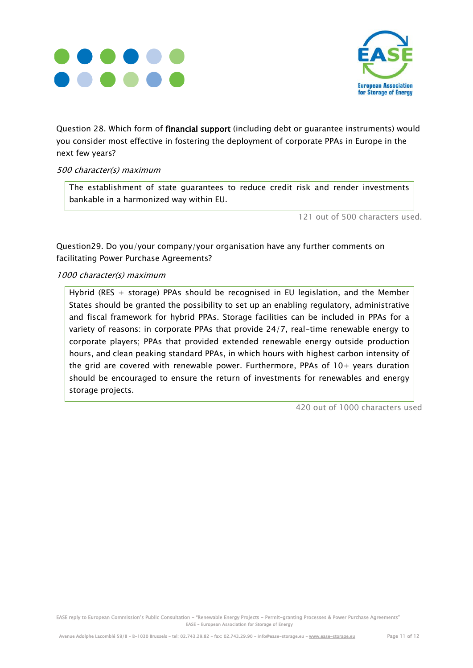



Question 28. Which form of financial support (including debt or guarantee instruments) would you consider most effective in fostering the deployment of corporate PPAs in Europe in the next few years?

#### 500 character(s) maximum

The establishment of state guarantees to reduce credit risk and render investments bankable in a harmonized way within EU.

121 out of 500 characters used.

Question29. Do you/your company/your organisation have any further comments on facilitating Power Purchase Agreements?

#### 1000 character(s) maximum

Hybrid (RES + storage) PPAs should be recognised in EU legislation, and the Member States should be granted the possibility to set up an enabling regulatory, administrative and fiscal framework for hybrid PPAs. Storage facilities can be included in PPAs for a variety of reasons: in corporate PPAs that provide 24/7, real-time renewable energy to corporate players; PPAs that provided extended renewable energy outside production hours, and clean peaking standard PPAs, in which hours with highest carbon intensity of the grid are covered with renewable power. Furthermore, PPAs of  $10+$  years duration should be encouraged to ensure the return of investments for renewables and energy storage projects.

420 out of 1000 characters used